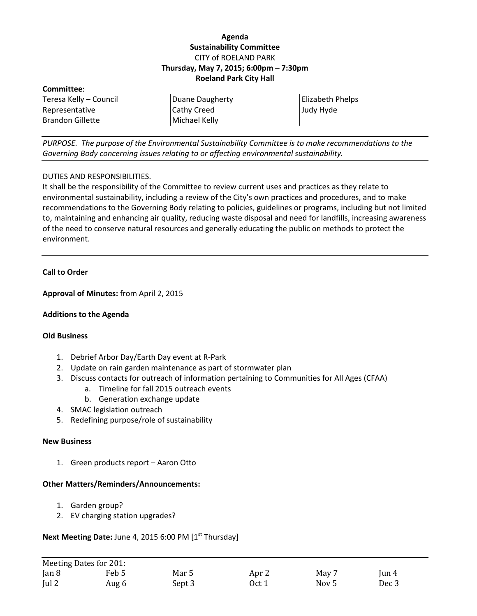# **Agenda Sustainability Committee** CITY of ROELAND PARK **Thursday, May 7, 2015; 6:00pm – 7:30pm Roeland Park City Hall**

| Committee:              |                    |                         |
|-------------------------|--------------------|-------------------------|
| Teresa Kelly – Council  | Duane Daugherty    | <b>Elizabeth Phelps</b> |
| Representative          | <b>Cathy Creed</b> | Judy Hyde               |
| <b>Brandon Gillette</b> | Michael Kelly      |                         |

*PURPOSE. The purpose of the Environmental Sustainability Committee is to make recommendations to the Governing Body concerning issues relating to or affecting environmental sustainability.*

### DUTIES AND RESPONSIBILITIES.

It shall be the responsibility of the Committee to review current uses and practices as they relate to environmental sustainability, including a review of the City's own practices and procedures, and to make recommendations to the Governing Body relating to policies, guidelines or programs, including but not limited to, maintaining and enhancing air quality, reducing waste disposal and need for landfills, increasing awareness of the need to conserve natural resources and generally educating the public on methods to protect the environment.

## **Call to Order**

**Approval of Minutes:** from April 2, 2015

#### **Additions to the Agenda**

#### **Old Business**

- 1. Debrief Arbor Day/Earth Day event at R-Park
- 2. Update on rain garden maintenance as part of stormwater plan
- 3. Discuss contacts for outreach of information pertaining to Communities for All Ages (CFAA)
	- a. Timeline for fall 2015 outreach events
	- b. Generation exchange update
- 4. SMAC legislation outreach
- 5. Redefining purpose/role of sustainability

#### **New Business**

1. Green products report – Aaron Otto

#### **Other Matters/Reminders/Announcements:**

- 1. Garden group?
- 2. EV charging station upgrades?

**Next Meeting Date: June 4, 2015 6:00 PM [1st Thursday]** 

|               | Meeting Dates for 201: |        |       |       |          |
|---------------|------------------------|--------|-------|-------|----------|
| $\tan 8$      | Feb 5                  | Mar 5  | Apr 2 | May 7 | $\tan 4$ |
| $\lceil$ ul 2 | Aug 6                  | Sept 3 | Oct 1 | Nov 5 | Dec 3    |